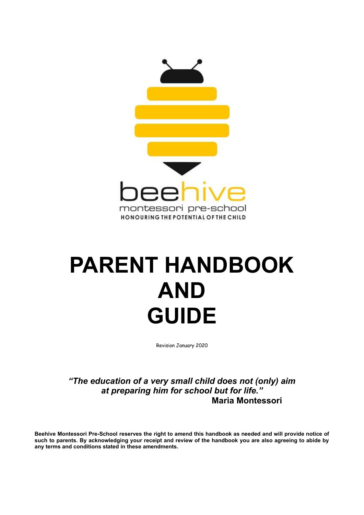

# **PARENT HANDBOOK AND GUIDE**

Revision January 2020

*"The education of a very small child does not (only) aim at preparing him for school but for life."* **Maria Montessori**

**Beehive Montessori Pre-School reserves the right to amend this handbook as needed and will provide notice of such to parents. By acknowledging your receipt and review of the handbook you are also agreeing to abide by any terms and conditions stated in these amendments.**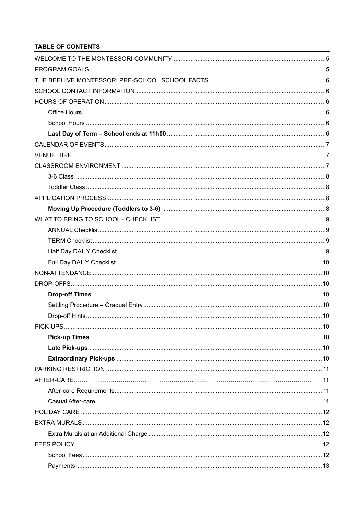# **TABLE OF CONTENTS**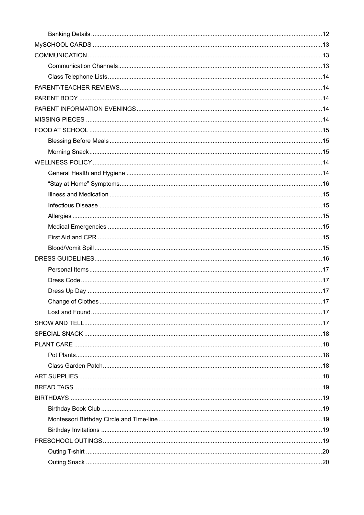| Change of Clothes | 17 |
|-------------------|----|
|                   |    |
|                   |    |
|                   |    |
|                   |    |
|                   |    |
|                   |    |
|                   |    |
|                   |    |
|                   |    |
|                   |    |
|                   |    |
|                   |    |
|                   |    |
|                   |    |
|                   |    |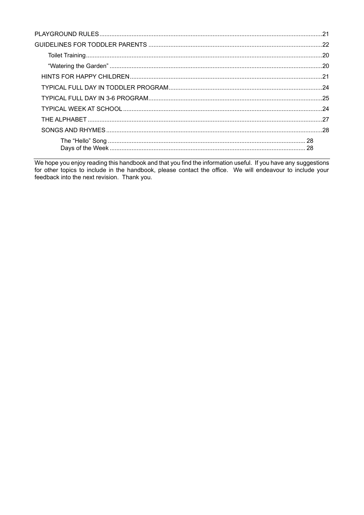We hope you enjoy reading this handbook and that you find the information useful. If you have any suggestions for other topics to include in the handbook, please contact the office. We will endeavour to include your feedba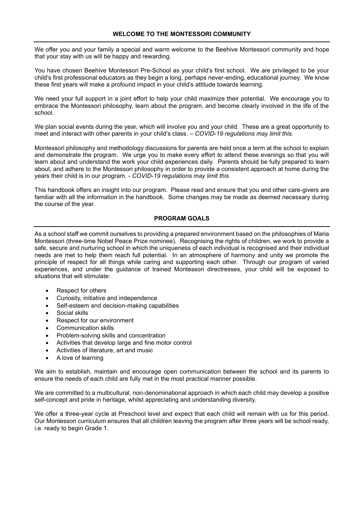We offer you and your family a special and warm welcome to the Beehive Montessori community and hope that your stay with us will be happy and rewarding.

You have chosen Beehive Montessori Pre-School as your child's first school. We are privileged to be your child's first professional educators as they begin a long, perhaps never-ending, educational journey. We know these first years will make a profound impact in your child's attitude towards learning.

We need your full support in a joint effort to help your child maximize their potential. We encourage you to embrace the Montessori philosophy, learn about the program, and become clearly involved in the life of the school.

We plan social events during the year, which will involve you and your child. These are a great opportunity to meet and interact with other parents in your child's class. – *COVID-19 regulations may limit this.*

Montessori philosophy and methodology discussions for parents are held once a term at the school to explain and demonstrate the program. We urge you to make every effort to attend these evenings so that you will learn about and understand the work your child experiences daily. Parents should be fully prepared to learn about, and adhere to the Montessori philosophy in order to provide a consistent approach at home during the years their child is in our program. - *COVID-19 regulations may limit this*

This handbook offers an insight into our program. Please read and ensure that you and other care-givers are familiar with all the information in the handbook. Some changes may be made as deemed necessary during the course of the year.

# **PROGRAM GOALS**

As a school staff we commit ourselves to providing a prepared environment based on the philosophies of Maria Montessori (three-time Nobel Peace Prize nominee). Recognising the rights of children, we work to provide a safe, secure and nurturing school in which the uniqueness of each individual is recognised and their individual needs are met to help them reach full potential. In an atmosphere of harmony and unity we promote the principle of respect for all things while caring and supporting each other. Through our program of varied experiences, and under the guidance of trained Montessori directresses, your child will be exposed to situations that will stimulate:

- Respect for others
- Curiosity, initiative and independence
- Self-esteem and decision-making capabilities
- Social skills
- Respect for our environment
- Communication skills
- Problem-solving skills and concentration
- Activities that develop large and fine motor control
- Activities of literature, art and music
- A love of learning

We aim to establish, maintain and encourage open communication between the school and its parents to ensure the needs of each child are fully met in the most practical manner possible.

We are committed to a multicultural, non-denominational approach in which each child may develop a positive self-concept and pride in heritage, whilst appreciating and understanding diversity.

We offer a three-year cycle at Preschool level and expect that each child will remain with us for this period. Our Montessori curriculum ensures that all children leaving the program after three years will be school ready, i.e. ready to begin Grade 1.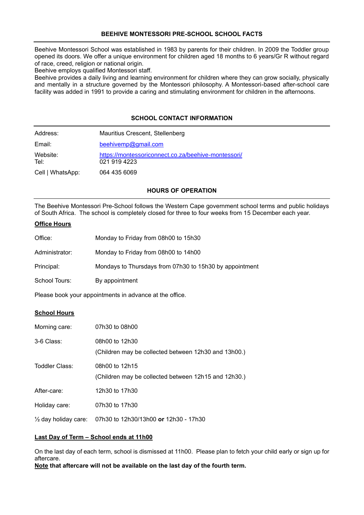# **BEEHIVE MONTESSORI PRE-SCHOOL SCHOOL FACTS**

Beehive Montessori School was established in 1983 by parents for their children. In 2009 the Toddler group opened its doors. We offer a unique environment for children aged 18 months to 6 years/Gr R without regard of race, creed, religion or national origin.

Beehive employs qualified Montessori staff.

Beehive provides a daily living and learning environment for children where they can grow socially, physically and mentally in a structure governed by the Montessori philosophy. A Montessori-based after-school care facility was added in 1991 to provide a caring and stimulating environment for children in the afternoons.

# **SCHOOL CONTACT INFORMATION**

| Address:         | Mauritius Crescent, Stellenberg                                     |
|------------------|---------------------------------------------------------------------|
| Email:           | beehivemp@gmail.com                                                 |
| Website:<br>Tel: | https://montessoriconnect.co.za/beehive-montessori/<br>021 919 4223 |
| Cell   WhatsApp: | 064 435 6069                                                        |

# **HOURS OF OPERATION**

The Beehive Montessori Pre-School follows the Western Cape government school terms and public holidays of South Africa. The school is completely closed for three to four weeks from 15 December each year.

# **Office Hours**

| Office:        | Monday to Friday from 08h00 to 15h30                    |
|----------------|---------------------------------------------------------|
| Administrator: | Monday to Friday from 08h00 to 14h00                    |
| Principal:     | Mondays to Thursdays from 07h30 to 15h30 by appointment |
| School Tours:  | By appointment                                          |

Please book your appointments in advance at the office.

# **School Hours**

| Morning care:                   | 07h30 to 08h00                                                         |
|---------------------------------|------------------------------------------------------------------------|
| 3-6 Class:                      | 08h00 to 12h30<br>(Children may be collected between 12h30 and 13h00.) |
| Toddler Class:                  | 08h00 to 12h15<br>(Children may be collected between 12h15 and 12h30.) |
| After-care:                     | 12h30 to 17h30                                                         |
| Holiday care:                   | 07h30 to 17h30                                                         |
| $\frac{1}{2}$ day holiday care: | 07h30 to 12h30/13h00 or 12h30 - 17h30                                  |

#### **Last Day of Term – School ends at 11h00**

On the last day of each term, school is dismissed at 11h00. Please plan to fetch your child early or sign up for aftercare.

**Note that aftercare will not be available on the last day of the fourth term.**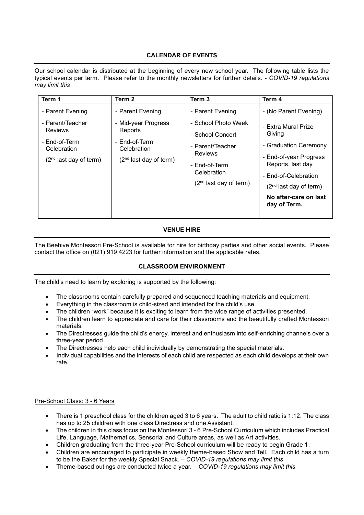# **CALENDAR OF EVENTS**

Our school calendar is distributed at the beginning of every new school year. The following table lists the typical events per term. Please refer to the monthly newsletters for further details. - *COVID-19 regulations may limit this*

| Term 1                                                                                                      | Term 2                                                                                                         | Term 3                                                                                                                                                        | Term 4                                                                                                                                                                                                                      |
|-------------------------------------------------------------------------------------------------------------|----------------------------------------------------------------------------------------------------------------|---------------------------------------------------------------------------------------------------------------------------------------------------------------|-----------------------------------------------------------------------------------------------------------------------------------------------------------------------------------------------------------------------------|
| - Parent Evening<br>- Parent/Teacher<br>Reviews<br>- End-of-Term<br>Celebration<br>$(2nd$ last day of term) | - Parent Evening<br>- Mid-year Progress<br>Reports<br>- End-of-Term<br>Celebration<br>$(2nd$ last day of term) | - Parent Evening<br>- School Photo Week<br>- School Concert<br>- Parent/Teacher<br><b>Reviews</b><br>- End-of-Term<br>Celebration<br>$(2nd$ last day of term) | - (No Parent Evening)<br>- Extra Mural Prize<br>Giving<br>- Graduation Ceremony<br>- End-of-year Progress<br>Reports, last day<br>- End-of-Celebration<br>$(2nd$ last day of term)<br>No after-care on last<br>day of Term. |

# **VENUE HIRE**

The Beehive Montessori Pre-School is available for hire for birthday parties and other social events. Please contact the office on (021) 919 4223 for further information and the applicable rates.

# **CLASSROOM ENVIRONMENT**

The child's need to learn by exploring is supported by the following:

- The classrooms contain carefully prepared and sequenced teaching materials and equipment.
- Everything in the classroom is child-sized and intended for the child's use.
- The children "work" because it is exciting to learn from the wide range of activities presented.
- The children learn to appreciate and care for their classrooms and the beautifully crafted Montessori materials.
- The Directresses guide the child's energy, interest and enthusiasm into self-enriching channels over a three-year period
- The Directresses help each child individually by demonstrating the special materials.
- Individual capabilities and the interests of each child are respected as each child develops at their own rate.

# Pre-School Class: 3 - 6 Years

- There is 1 preschool class for the children aged 3 to 6 years. The adult to child ratio is 1:12. The class has up to 25 children with one class Directress and one Assistant.
- The children in this class focus on the Montessori 3 6 Pre-School Curriculum which includes Practical Life, Language, Mathematics, Sensorial and Culture areas, as well as Art activities.
- Children graduating from the three-year Pre-School curriculum will be ready to begin Grade 1.
- Children are encouraged to participate in weekly theme-based Show and Tell. Each child has a turn to be the Baker for the weekly Special Snack. – *COVID-19 regulations may limit this*
- Theme-based outings are conducted twice a year. *COVID-19 regulations may limit this*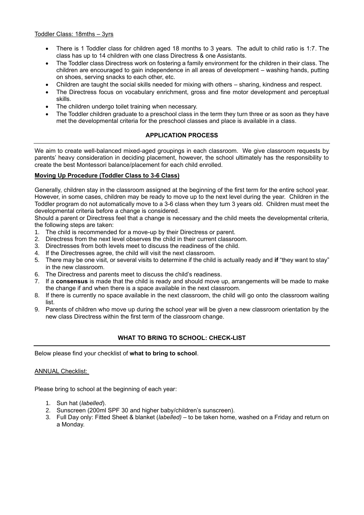- There is 1 Toddler class for children aged 18 months to 3 years. The adult to child ratio is 1:7. The class has up to 14 children with one class Directress & one Assistants.
- The Toddler class Directress work on fostering a family environment for the children in their class. The children are encouraged to gain independence in all areas of development – washing hands, putting on shoes, serving snacks to each other, etc.
- Children are taught the social skills needed for mixing with others sharing, kindness and respect.
- The Directress focus on vocabulary enrichment, gross and fine motor development and perceptual skills.
- The children undergo toilet training when necessary.
- The Toddler children graduate to a preschool class in the term they turn three or as soon as they have met the developmental criteria for the preschool classes and place is available in a class.

# **APPLICATION PROCESS**

We aim to create well-balanced mixed-aged groupings in each classroom. We give classroom requests by parents' heavy consideration in deciding placement, however, the school ultimately has the responsibility to create the best Montessori balance/placement for each child enrolled.

#### **Moving Up Procedure (Toddler Class to 3-6 Class)**

Generally, children stay in the classroom assigned at the beginning of the first term for the entire school year. However, in some cases, children may be ready to move up to the next level during the year. Children in the Toddler program do not automatically move to a 3-6 class when they turn 3 years old. Children must meet the developmental criteria before a change is considered.

Should a parent or Directress feel that a change is necessary and the child meets the developmental criteria, the following steps are taken:

- 1. The child is recommended for a move-up by their Directress or parent.
- 2. Directress from the next level observes the child in their current classroom.
- 3. Directresses from both levels meet to discuss the readiness of the child.
- 4. If the Directresses agree, the child will visit the next classroom.
- 5. There may be one visit, or several visits to determine if the child is actually ready and **if** "they want to stay" in the new classroom.
- 6. The Directress and parents meet to discuss the child's readiness.
- 7. If a **consensus** is made that the child is ready and should move up, arrangements will be made to make the change if and when there is a space available in the next classroom.
- 8. If there is currently no space available in the next classroom, the child will go onto the classroom waiting list.
- 9. Parents of children who move up during the school year will be given a new classroom orientation by the new class Directress within the first term of the classroom change.

# **WHAT TO BRING TO SCHOOL: CHECK-LIST**

Below please find your checklist of **what to bring to school**.

#### ANNUAL Checklist:

Please bring to school at the beginning of each year:

- 1. Sun hat (*labelled*).
- 2. Sunscreen (200ml SPF 30 and higher baby/children's sunscreen).
- 3. Full Day only: Fitted Sheet & blanket (*labelled)* to be taken home, washed on a Friday and return on a Monday.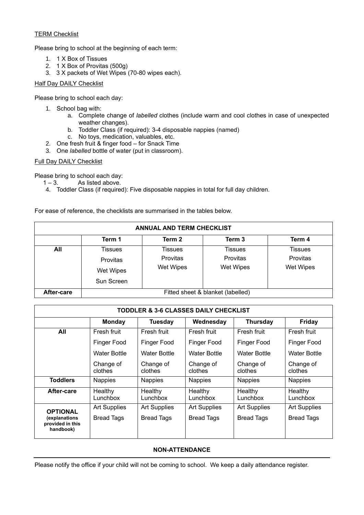# TERM Checklist

Please bring to school at the beginning of each term:

- 1. 1 X Box of Tissues
- 2. 1 X Box of Provitas (500g)
- 3. 3 X packets of Wet Wipes (70-80 wipes each).

# Half Day DAILY Checklist

Please bring to school each day:

- 1. School bag with:
	- a. Complete change of *labelled* clothes (include warm and cool clothes in case of unexpected weather changes).
	- b. Toddler Class (if required): 3-4 disposable nappies (named)
	- c. No toys, medication, valuables, etc.
- 2. One fresh fruit & finger food for Snack Time
- 3. One *labelled* bottle of water (put in classroom).

# Full Day DAILY Checklist

Please bring to school each day:

- $1 3$ . As listed above.
- 4. Toddler Class (if required): Five disposable nappies in total for full day children.

For ease of reference, the checklists are summarised in the tables below.

| <b>ANNUAL AND TERM CHECKLIST</b> |                                   |           |                  |                 |
|----------------------------------|-----------------------------------|-----------|------------------|-----------------|
|                                  | Term 1                            | Term 2    | Term 3           | Term 4          |
| All                              | Tissues                           | Tissues   | Tissues          | Tissues         |
|                                  | Provitas                          | Provitas  | <b>Provitas</b>  | <b>Provitas</b> |
|                                  | Wet Wipes                         | Wet Wipes | <b>Wet Wipes</b> | Wet Wipes       |
|                                  | Sun Screen                        |           |                  |                 |
| After-care                       | Fitted sheet & blanket (labelled) |           |                  |                 |

| TODDLER & 3-6 CLASSES DAILY CHECKLIST                             |                                                                           |                                          |                                          |                                          |                                          |  |  |
|-------------------------------------------------------------------|---------------------------------------------------------------------------|------------------------------------------|------------------------------------------|------------------------------------------|------------------------------------------|--|--|
|                                                                   | Friday<br><b>Monday</b><br><b>Tuesday</b><br>Wednesday<br><b>Thursday</b> |                                          |                                          |                                          |                                          |  |  |
| All                                                               | Fresh fruit                                                               | Fresh fruit                              | Fresh fruit                              | Fresh fruit                              | Fresh fruit                              |  |  |
|                                                                   | Finger Food                                                               | Finger Food                              | Finger Food                              | Finger Food                              | <b>Finger Food</b>                       |  |  |
|                                                                   | Water Bottle                                                              | Water Bottle                             | Water Bottle                             | Water Bottle                             | Water Bottle                             |  |  |
|                                                                   | Change of<br>clothes                                                      | Change of<br>clothes                     | Change of<br>clothes                     | Change of<br>clothes                     | Change of<br>clothes                     |  |  |
| <b>Toddlers</b>                                                   | <b>Nappies</b>                                                            | <b>Nappies</b>                           | <b>Nappies</b>                           | <b>Nappies</b>                           | <b>Nappies</b>                           |  |  |
| After-care                                                        | Healthy<br>Lunchbox                                                       | Healthy<br>Lunchbox                      | Healthy<br>Lunchbox                      | Healthy<br>$L$ unchbox                   | Healthy<br>Lunchbox                      |  |  |
| <b>OPTIONAL</b><br>(explanations<br>provided in this<br>handbook) | <b>Art Supplies</b><br><b>Bread Tags</b>                                  | <b>Art Supplies</b><br><b>Bread Tags</b> | <b>Art Supplies</b><br><b>Bread Tags</b> | <b>Art Supplies</b><br><b>Bread Tags</b> | <b>Art Supplies</b><br><b>Bread Tags</b> |  |  |

# **NON-ATTENDANCE**

Please notify the office if your child will not be coming to school. We keep a daily attendance register.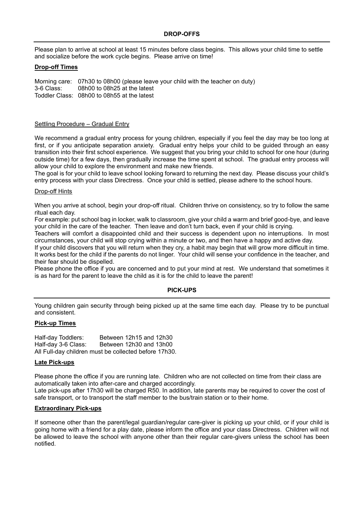Please plan to arrive at school at least 15 minutes before class begins. This allows your child time to settle and socialize before the work cycle begins. Please arrive on time!

#### **Drop-off Times**

Morning care: 07h30 to 08h00 (please leave your child with the teacher on duty) 3-6 Class: 08h00 to 08h25 at the latest Toddler Class: 08h00 to 08h55 at the latest

# Settling Procedure – Gradual Entry

We recommend a gradual entry process for young children, especially if you feel the day may be too long at first, or if you anticipate separation anxiety. Gradual entry helps your child to be guided through an easy transition into their first school experience. We suggest that you bring your child to school for one hour (during outside time) for a few days, then gradually increase the time spent at school. The gradual entry process will allow your child to explore the environment and make new friends.

The goal is for your child to leave school looking forward to returning the next day. Please discuss your child's entry process with your class Directress. Once your child is settled, please adhere to the school hours.

#### Drop-off Hints

When you arrive at school, begin your drop-off ritual. Children thrive on consistency, so try to follow the same ritual each day.

For example: put school bag in locker, walk to classroom, give your child a warm and brief good-bye, and leave your child in the care of the teacher. Then leave and don't turn back, even if your child is crying.

Teachers will comfort a disappointed child and their success is dependent upon no interruptions. In most circumstances, your child will stop crying within a minute or two, and then have a happy and active day.

If your child discovers that you will return when they cry, a habit may begin that will grow more difficult in time. It works best for the child if the parents do not linger. Your child will sense your confidence in the teacher, and their fear should be dispelled.

Please phone the office if you are concerned and to put your mind at rest. We understand that sometimes it is as hard for the parent to leave the child as it is for the child to leave the parent!

#### **PICK-UPS**

Young children gain security through being picked up at the same time each day. Please try to be punctual and consistent.

# **Pick-up Times**

Half-day Toddlers: Between 12h15 and 12h30 Half-day 3-6 Class: Between 12h30 and 13h00 All Full-day children must be collected before 17h30.

#### **Late Pick-ups**

Please phone the office if you are running late. Children who are not collected on time from their class are automatically taken into after-care and charged accordingly.

Late pick-ups after 17h30 will be charged R50. In addition, late parents may be required to cover the cost of safe transport, or to transport the staff member to the bus/train station or to their home.

#### **Extraordinary Pick-ups**

If someone other than the parent/legal guardian/regular care-giver is picking up your child, or if your child is going home with a friend for a play date, please inform the office and your class Directress. Children will not be allowed to leave the school with anyone other than their regular care-givers unless the school has been notified.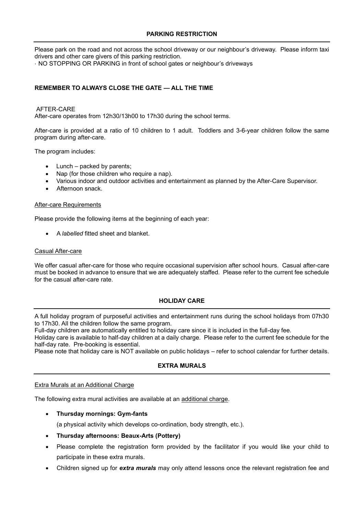# **PARKING RESTRICTION**

Please park on the road and not across the school driveway or our neighbour's driveway. Please inform taxi drivers and other care givers of this parking restriction.

· NO STOPPING OR PARKING in front of school gates or neighbour's driveways

# **REMEMBER TO ALWAYS CLOSE THE GATE — ALL THE TIME**

# AFTER-CARE

After-care operates from 12h30/13h00 to 17h30 during the school terms.

After-care is provided at a ratio of 10 children to 1 adult. Toddlers and 3-6-year children follow the same program during after-care.

The program includes:

- Lunch  $-$  packed by parents;
- Nap (for those children who require a nap).
- Various indoor and outdoor activities and entertainment as planned by the After-Care Supervisor.
- Afternoon snack.

#### After-care Requirements

Please provide the following items at the beginning of each year:

• A *labelled* fitted sheet and blanket.

# Casual After-care

We offer casual after-care for those who require occasional supervision after school hours. Casual after-care must be booked in advance to ensure that we are adequately staffed. Please refer to the current fee schedule for the casual after-care rate.

# **HOLIDAY CARE**

A full holiday program of purposeful activities and entertainment runs during the school holidays from 07h30 to 17h30. All the children follow the same program.

Full-day children are automatically entitled to holiday care since it is included in the full-day fee.

Holiday care is available to half-day children at a daily charge. Please refer to the current fee schedule for the half-day rate. Pre-booking is essential.

Please note that holiday care is NOT available on public holidays – refer to school calendar for further details.

# **EXTRA MURALS**

#### Extra Murals at an Additional Charge

The following extra mural activities are available at an additional charge.

- **Thursday mornings: Gym-fants**
	- (a physical activity which develops co-ordination, body strength, etc.).
- **Thursday afternoons: Beaux-Arts (Pottery)**
- Please complete the registration form provided by the facilitator if you would like your child to participate in these extra murals.
- Children signed up for *extra murals* may only attend lessons once the relevant registration fee and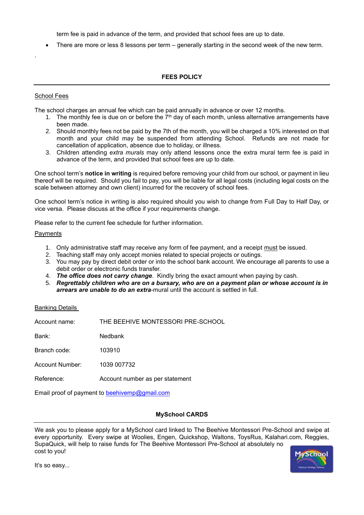term fee is paid in advance of the term, and provided that school fees are up to date.

• There are more or less 8 lessons per term – generally starting in the second week of the new term.

# **FEES POLICY**

# School Fees

.

The school charges an annual fee which can be paid annually in advance or over 12 months.

- 1. The monthly fee is due on or before the  $7<sup>th</sup>$  day of each month, unless alternative arrangements have been made.
- 2. Should monthly fees not be paid by the 7th of the month, you will be charged a 10% interested on that month and your child may be suspended from attending School. Refunds are not made for cancellation of application, absence due to holiday, or illness.
- 3. Children attending *extra murals* may only attend lessons once the extra mural term fee is paid in advance of the term, and provided that school fees are up to date.

One school term's **notice in writing** is required before removing your child from our school, or payment in lieu thereof will be required. Should you fail to pay, you will be liable for all legal costs (including legal costs on the scale between attorney and own client) incurred for the recovery of school fees.

One school term's notice in writing is also required should you wish to change from Full Day to Half Day, or vice versa. Please discuss at the office if your requirements change.

Please refer to the current fee schedule for further information.

#### Payments

- 1. Only administrative staff may receive any form of fee payment, and a receipt must be issued.
- 2. Teaching staff may only accept monies related to special projects or outings.
- 3. You may pay by direct debit order or into the school bank account. We encourage all parents to use a debit order or electronic funds transfer.
- 4. *The office does not carry change*. Kindly bring the exact amount when paying by cash.
- 5. *Regrettably children who are on a bursary, who are on a payment plan or whose account is in arrears are unable to do an extra*-mural until the account is settled in full.

#### Banking Details

| Account name:                                 | THE BEEHIVE MONTESSORI PRE-SCHOOL |  |  |  |
|-----------------------------------------------|-----------------------------------|--|--|--|
| Bank:                                         | <b>Nedbank</b>                    |  |  |  |
| Branch code:                                  | 103910                            |  |  |  |
| Account Number:                               | 1039 007732                       |  |  |  |
| Reference:<br>Account number as per statement |                                   |  |  |  |
| Email proof of payment to beehivemp@gmail.com |                                   |  |  |  |

# **MySchool CARDS**

We ask you to please apply for a MySchool card linked to The Beehive Montessori Pre-School and swipe at every opportunity. Every swipe at Woolies, Engen, Quickshop, Waltons, ToysRus, Kalahari.com, Reggies, SupaQuick, will help to raise funds for The Beehive Montessori Pre-School at absolutely no cost to you!



It's so easy...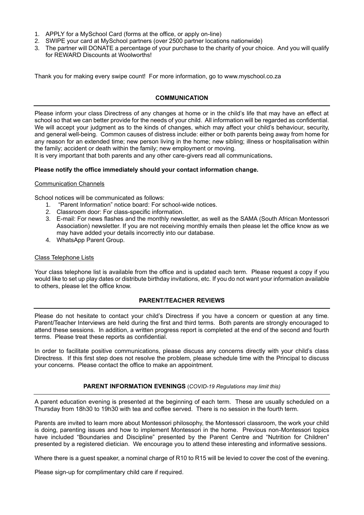- 1. APPLY for a MySchool Card (forms at the office, or apply on-line)
- 2. SWIPE your card at MySchool partners (over 2500 partner locations nationwide)
- 3. The partner will DONATE a percentage of your purchase to the charity of your choice. And you will qualify for REWARD Discounts at Woolworths!

Thank you for making every swipe count! For more information, go to www.myschool.co.za

# **COMMUNICATION**

Please inform your class Directress of any changes at home or in the child's life that may have an effect at school so that we can better provide for the needs of your child. All information will be regarded as confidential. We will accept your judgment as to the kinds of changes, which may affect your child's behaviour, security, and general well-being. Common causes of distress include: either or both parents being away from home for any reason for an extended time; new person living in the home; new sibling; illness or hospitalisation within the family; accident or death within the family; new employment or moving.

It is very important that both parents and any other care-givers read all communications**.** 

# **Please notify the office immediately should your contact information change.**

#### Communication Channels

School notices will be communicated as follows:

- 1. "Parent Information" notice board: For school-wide notices.
- 2. Classroom door: For class-specific information.
- 3. E-mail: For news flashes and the monthly newsletter, as well as the SAMA (South African Montessori Association) newsletter. If you are not receiving monthly emails then please let the office know as we may have added your details incorrectly into our database.
- 4. WhatsApp Parent Group.

# Class Telephone Lists

Your class telephone list is available from the office and is updated each term. Please request a copy if you would like to set up play dates or distribute birthday invitations, etc. If you do not want your information available to others, please let the office know.

# **PARENT/TEACHER REVIEWS**

Please do not hesitate to contact your child's Directress if you have a concern or question at any time. Parent/Teacher Interviews are held during the first and third terms. Both parents are strongly encouraged to attend these sessions. In addition, a written progress report is completed at the end of the second and fourth terms. Please treat these reports as confidential.

In order to facilitate positive communications, please discuss any concerns directly with your child's class Directress. If this first step does not resolve the problem, please schedule time with the Principal to discuss your concerns. Please contact the office to make an appointment.

# **PARENT INFORMATION EVENINGS** (*COVID-19 Regulations may limit this)*

A parent education evening is presented at the beginning of each term. These are usually scheduled on a Thursday from 18h30 to 19h30 with tea and coffee served. There is no session in the fourth term.

Parents are invited to learn more about Montessori philosophy, the Montessori classroom, the work your child is doing, parenting issues and how to implement Montessori in the home. Previous non-Montessori topics have included "Boundaries and Discipline" presented by the Parent Centre and "Nutrition for Children" presented by a registered dietician. We encourage you to attend these interesting and informative sessions.

Where there is a guest speaker, a nominal charge of R10 to R15 will be levied to cover the cost of the evening.

Please sign-up for complimentary child care if required.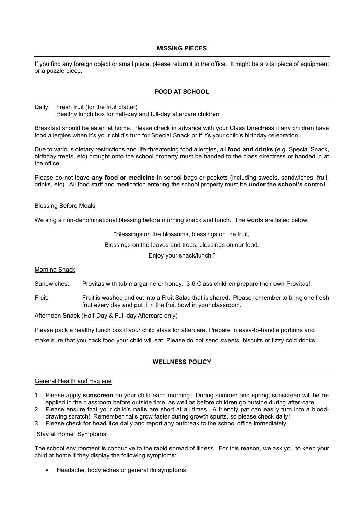#### **MISSING PIECES**

If you find any foreign object or small piece, please return it to the office. It might be a vital piece of equipment or a puzzle piece.

#### **FOOD AT SCHOOL**

Daily: Fresh fruit (for the fruit platter) Healthy lunch box for half-day and full-day aftercare children

Breakfast should be eaten at home. Please check in advance with your Class Directress if any children have food allergies when it's your child's turn for Special Snack or if it's your child's birthday celebration.

Due to various dietary restrictions and life-threatening food allergies, all **food and drinks** (e.g. Special Snack, birthday treats, etc) brought onto the school property must be handed to the class directress or handed in at the office.

Please do not leave **any food or medicine** in school bags or pockets (including sweets, sandwiches, fruit, drinks, etc). All food stuff and medication entering the school property must be **under the school's control**.

#### Blessing Before Meals

We sing a non-denominational blessing before morning snack and lunch. The words are listed below.

"Blessings on the blossoms, blessings on the fruit,

Blessings on the leaves and trees, blessings on our food.

Enjoy your snack/lunch."

**Morning Snack** 

Sandwiches: Provitas with tub margarine or honey. 3-6 Class children prepare their own Provitas!

Fruit: Fruit is washed and cut into a Fruit Salad that is shared. Please remember to bring one fresh fruit every day and put it in the fruit bowl in your classroom.

Afternoon Snack (Half-Day & Full-day Aftercare only)

Please pack a healthy lunch box if your child stays for aftercare. Prepare in easy-to-handle portions and make sure that you pack food your child will eat. Please do not send sweets, biscuits or fizzy cold drinks.

# **WELLNESS POLICY**

#### General Health and Hygiene

- 1. Please apply **sunscreen** on your child each morning. During summer and spring, sunscreen will be reapplied in the classroom before outside time, as well as before children go outside during after-care.
- 2. Please ensure that your child's **nails** are short at all times. A friendly pat can easily turn into a blooddrawing scratch! Remember nails grow faster during growth spurts, so please check daily!
- 3. Please check for **head lice** daily and report any outbreak to the school office immediately.

#### "Stay at Home" Symptoms

The school environment is conducive to the rapid spread of illness. For this reason, we ask you to keep your child at home if they display the following symptoms:

• Headache, body aches or general flu symptoms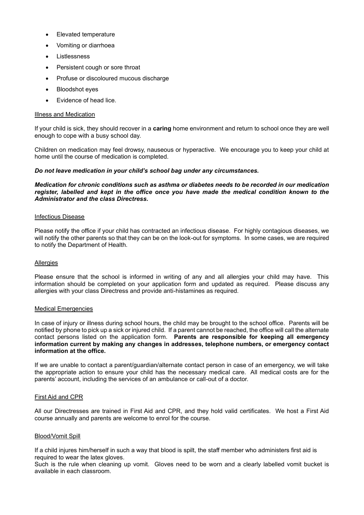- Elevated temperature
- Vomiting or diarrhoea
- **Listlessness**
- Persistent cough or sore throat
- Profuse or discoloured mucous discharge
- **Bloodshot eves**
- Evidence of head lice.

#### Illness and Medication

If your child is sick, they should recover in a **caring** home environment and return to school once they are well enough to cope with a busy school day.

Children on medication may feel drowsy, nauseous or hyperactive. We encourage you to keep your child at home until the course of medication is completed.

# *Do not leave medication in your child's school bag under any circumstances.*

#### *Medication for chronic conditions such as asthma or diabetes needs to be recorded in our medication register, labelled and kept in the office once you have made the medical condition known to the Administrator and the class Directress.*

#### Infectious Disease

Please notify the office if your child has contracted an infectious disease. For highly contagious diseases, we will notify the other parents so that they can be on the look-out for symptoms. In some cases, we are required to notify the Department of Health.

#### Allergies

Please ensure that the school is informed in writing of any and all allergies your child may have. This information should be completed on your application form and updated as required. Please discuss any allergies with your class Directress and provide anti-histamines as required.

#### Medical Emergencies

In case of injury or illness during school hours, the child may be brought to the school office. Parents will be notified by phone to pick up a sick or injured child. If a parent cannot be reached, the office will call the alternate contact persons listed on the application form. **Parents are responsible for keeping all emergency information current by making any changes in addresses, telephone numbers, or emergency contact information at the office.**

If we are unable to contact a parent/guardian/alternate contact person in case of an emergency, we will take the appropriate action to ensure your child has the necessary medical care. All medical costs are for the parents' account, including the services of an ambulance or call-out of a doctor.

#### First Aid and CPR

All our Directresses are trained in First Aid and CPR, and they hold valid certificates. We host a First Aid course annually and parents are welcome to enrol for the course.

#### Blood/Vomit Spill

If a child injures him/herself in such a way that blood is spilt, the staff member who administers first aid is required to wear the latex gloves.

Such is the rule when cleaning up vomit. Gloves need to be worn and a clearly labelled vomit bucket is available in each classroom.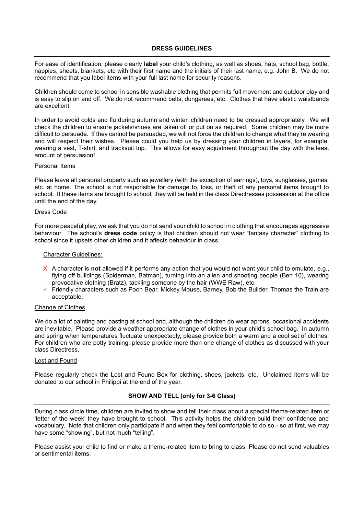For ease of identification, please clearly **label** your child's clothing, as well as shoes, hats, school bag, bottle, nappies, sheets, blankets, etc with their first name and the initials of their last name, e.g. John B. We do not recommend that you label items with your full last name for security reasons.

Children should come to school in sensible washable clothing that permits full movement and outdoor play and is easy to slip on and off. We do not recommend belts, dungarees, etc. Clothes that have elastic waistbands are excellent.

In order to avoid colds and flu during autumn and winter, children need to be dressed appropriately. We will check the children to ensure jackets/shoes are taken off or put on as required. Some children may be more difficult to persuade. If they cannot be persuaded, we will not force the children to change what they're wearing and will respect their wishes. Please could you help us by dressing your children in layers, for example, wearing a vest, T-shirt, and tracksuit top. This allows for easy adjustment throughout the day with the least amount of persuasion!

#### Personal Items

Please leave all personal property such as jewellery (with the exception of earrings), toys, sunglasses, games, etc. at home. The school is not responsible for damage to, loss, or theft of any personal items brought to school. If these items are brought to school, they will be held in the class Directresses possession at the office until the end of the day.

# Dress Code

For more peaceful play, we ask that you do not send your child to school in clothing that encourages aggressive behaviour. The school's **dress code** policy is that children should not wear "fantasy character" clothing to school since it upsets other children and it affects behaviour in class.

#### Character Guidelines:

- X A character is **not** allowed if it performs any action that you would not want your child to emulate, e.g., flying off buildings (Spiderman, Batman), turning into an alien and shooting people (Ben 10), wearing provocative clothing (Bratz), tackling someone by the hair (WWE Raw), etc.
- ✓ Friendly characters such as Pooh Bear, Mickey Mouse, Barney, Bob the Builder, Thomas the Train are acceptable.

#### Change of Clothes

We do a lot of painting and pasting at school and, although the children do wear aprons, occasional accidents are inevitable. Please provide a weather appropriate change of clothes in your child's school bag. In autumn and spring when temperatures fluctuate unexpectedly, please provide both a warm and a cool set of clothes. For children who are potty training, please provide more than one change of clothes as discussed with your class Directress.

#### Lost and Found

Please regularly check the Lost and Found Box for clothing, shoes, jackets, etc. Unclaimed items will be donated to our school in Philippi at the end of the year.

# **SHOW AND TELL (only for 3-6 Class)**

During class circle time, children are invited to show and tell their class about a special theme-related item or 'letter of the week' they have brought to school. This activity helps the children build their confidence and vocabulary. Note that children only participate if and when they feel comfortable to do so - so at first, we may have some "showing", but not much "telling".

Please assist your child to find or make a theme-related item to bring to class. Please do not send valuables or sentimental items.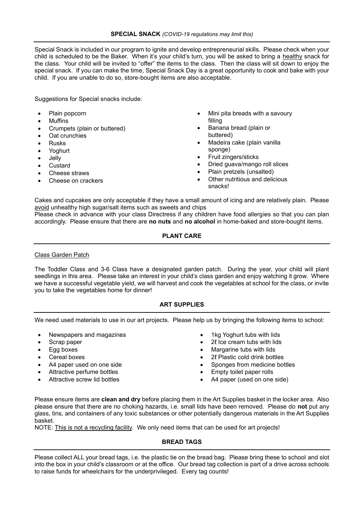Special Snack is included in our program to ignite and develop entrepreneurial skills. Please check when your child is scheduled to be the Baker. When it's your child's turn, you will be asked to bring a healthy snack for the class. Your child will be invited to "offer" the items to the class. Then the class will sit down to enjoy the special snack. If you can make the time, Special Snack Day is a great opportunity to cook and bake with your child. If you are unable to do so, store-bought items are also acceptable.

Suggestions for Special snacks include:

- Plain popcorn
- **Muffins**
- Crumpets (plain or buttered)
- Oat crunchies
- Rusks
- Yoghurt
- Jelly
- Custard
- Cheese straws
- Cheese on crackers
- Mini pita breads with a savoury filling
- Banana bread (plain or buttered)
- Madeira cake (plain vanilla sponge)
- Fruit zingers/sticks
- Dried guava/mango roll slices
- Plain pretzels (unsalted)
- Other nutritious and delicious snacks!

Cakes and cupcakes are only acceptable if they have a small amount of icing and are relatively plain. Please avoid unhealthy high sugar/salt items such as sweets and chips

Please check in advance with your class Directress if any children have food allergies so that you can plan accordingly. Please ensure that there are **no nuts** and **no alcohol** in home-baked and store-bought items.

# **PLANT CARE**

Class Garden Patch

The Toddler Class and 3-6 Class have a designated garden patch. During the year, your child will plant seedlings in this area. Please take an interest in your child's class garden and enjoy watching it grow. Where we have a successful vegetable yield, we will harvest and cook the vegetables at school for the class, or invite you to take the vegetables home for dinner!

# **ART SUPPLIES**

We need used materials to use in our art projects. Please help us by bringing the following items to school:

- Newspapers and magazines **•** 1kg Yoghurt tubs with lids
- 
- 
- Cereal boxes
- A4 paper used on one side
- Attractive perfume bottles
- Attractive screw lid bottles
- 
- Scrap paper 2ℓ Ice cream tubs with lids
- Egg boxes Margarine tubs with lids
	- 2ℓ Plastic cold drink bottles
	- Sponges from medicine bottles
	- Empty toilet paper rolls
	- A4 paper (used on one side)

Please ensure items are **clean and dry** before placing them in the Art Supplies basket in the locker area. Also please ensure that there are no choking hazards, i.e. small lids have been removed. Please do **not** put any glass, tins, and containers of any toxic substances or other potentially dangerous materials in the Art Supplies basket.

NOTE: This is not a recycling facility. We only need items that can be used for art projects!

# **BREAD TAGS**

Please collect ALL your bread tags, i.e. the plastic tie on the bread bag. Please bring these to school and slot into the box in your child's classroom or at the office. Our bread tag collection is part of a drive across schools to raise funds for wheelchairs for the underprivileged. Every tag counts!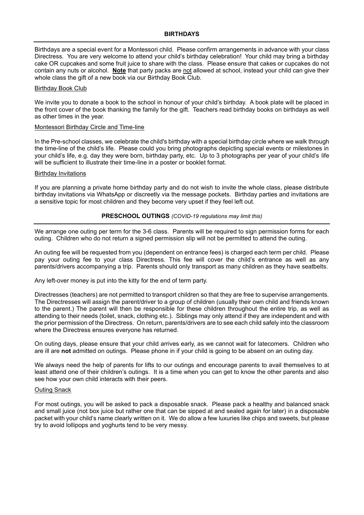Birthdays are a special event for a Montessori child. Please confirm arrangements in advance with your class Directress. You are very welcome to attend your child's birthday celebration! Your child may bring a birthday cake OR cupcakes and some fruit juice to share with the class. Please ensure that cakes or cupcakes do not contain any nuts or alcohol. **Note** that party packs are not allowed at school, instead your child can give their whole class the gift of a new book via our Birthday Book Club.

#### Birthday Book Club

We invite you to donate a book to the school in honour of your child's birthday. A book plate will be placed in the front cover of the book thanking the family for the gift. Teachers read birthday books on birthdays as well as other times in the year.

#### Montessori Birthday Circle and Time-line

In the Pre-school classes, we celebrate the child's birthday with a special birthday circle where we walk through the time-line of the child's life. Please could you bring photographs depicting special events or milestones in your child's life, e.g. day they were born, birthday party, etc. Up to 3 photographs per year of your child's life will be sufficient to illustrate their time-line in a poster or booklet format.

#### Birthday Invitations

If you are planning a private home birthday party and do not wish to invite the whole class, please distribute birthday invitations via WhatsApp or discreetly via the message pockets. Birthday parties and invitations are a sensitive topic for most children and they become very upset if they feel left out.

# **PRESCHOOL OUTINGS** *(COVID-19 regulations may limit this)*

We arrange one outing per term for the 3-6 class. Parents will be required to sign permission forms for each outing. Children who do not return a signed permission slip will not be permitted to attend the outing.

An outing fee will be requested from you (dependent on entrance fees) is charged each term per child. Please pay your outing fee to your class Directress. This fee will cover the child's entrance as well as any parents/drivers accompanying a trip. Parents should only transport as many children as they have seatbelts.

Any left-over money is put into the kitty for the end of term party.

Directresses (teachers) are not permitted to transport children so that they are free to supervise arrangements. The Directresses will assign the parent/driver to a group of children (usually their own child and friends known to the parent.) The parent will then be responsible for these children throughout the entire trip, as well as attending to their needs (toilet, snack, clothing etc.). Siblings may only attend if they are independent and with the prior permission of the Directress. On return, parents/drivers are to see each child safely into the classroom where the Directress ensures everyone has returned.

On outing days, please ensure that your child arrives early, as we cannot wait for latecomers. Children who are ill are **not** admitted on outings. Please phone in if your child is going to be absent on an outing day.

We always need the help of parents for lifts to our outings and encourage parents to avail themselves to at least attend one of their children's outings. It is a time when you can get to know the other parents and also see how your own child interacts with their peers.

#### Outing Snack

For most outings, you will be asked to pack a disposable snack. Please pack a healthy and balanced snack and small juice (not box juice but rather one that can be sipped at and sealed again for later) in a disposable packet with your child's name clearly written on it. We do allow a few luxuries like chips and sweets, but please try to avoid lollipops and yoghurts tend to be very messy.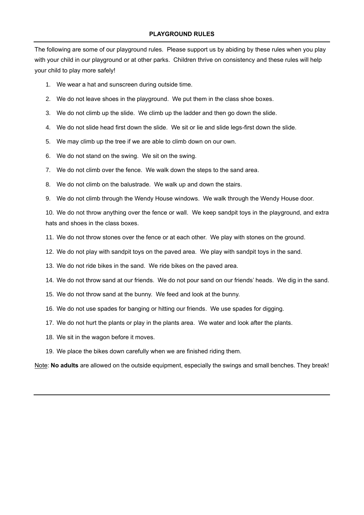The following are some of our playground rules. Please support us by abiding by these rules when you play with your child in our playground or at other parks. Children thrive on consistency and these rules will help your child to play more safely!

- 1. We wear a hat and sunscreen during outside time.
- 2. We do not leave shoes in the playground. We put them in the class shoe boxes.
- 3. We do not climb up the slide. We climb up the ladder and then go down the slide.
- 4. We do not slide head first down the slide. We sit or lie and slide legs-first down the slide.
- 5. We may climb up the tree if we are able to climb down on our own.
- 6. We do not stand on the swing. We sit on the swing.
- 7. We do not climb over the fence. We walk down the steps to the sand area.
- 8. We do not climb on the balustrade. We walk up and down the stairs.
- 9. We do not climb through the Wendy House windows. We walk through the Wendy House door.

10. We do not throw anything over the fence or wall. We keep sandpit toys in the playground, and extra hats and shoes in the class boxes.

- 11. We do not throw stones over the fence or at each other. We play with stones on the ground.
- 12. We do not play with sandpit toys on the paved area. We play with sandpit toys in the sand.
- 13. We do not ride bikes in the sand. We ride bikes on the paved area.
- 14. We do not throw sand at our friends. We do not pour sand on our friends' heads. We dig in the sand.
- 15. We do not throw sand at the bunny. We feed and look at the bunny.
- 16. We do not use spades for banging or hitting our friends. We use spades for digging.
- 17. We do not hurt the plants or play in the plants area. We water and look after the plants.
- 18. We sit in the wagon before it moves.
- 19. We place the bikes down carefully when we are finished riding them.

Note: **No adults** are allowed on the outside equipment, especially the swings and small benches. They break!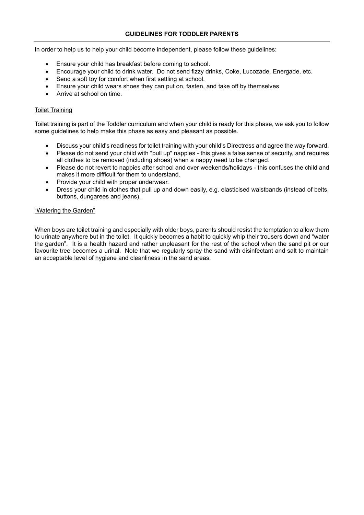In order to help us to help your child become independent, please follow these guidelines:

- Ensure your child has breakfast before coming to school.
- Encourage your child to drink water. Do not send fizzy drinks, Coke, Lucozade, Energade, etc.
- Send a soft toy for comfort when first settling at school.
- Ensure your child wears shoes they can put on, fasten, and take off by themselves
- Arrive at school on time.

# Toilet Training

Toilet training is part of the Toddler curriculum and when your child is ready for this phase, we ask you to follow some guidelines to help make this phase as easy and pleasant as possible.

- Discuss your child's readiness for toilet training with your child's Directress and agree the way forward.
- Please do not send your child with "pull up" nappies this gives a false sense of security, and requires all clothes to be removed (including shoes) when a nappy need to be changed.
- Please do not revert to nappies after school and over weekends/holidays this confuses the child and makes it more difficult for them to understand.
- Provide your child with proper underwear.
- Dress your child in clothes that pull up and down easily, e.g. elasticised waistbands (instead of belts, buttons, dungarees and jeans).

# "Watering the Garden"

When boys are toilet training and especially with older boys, parents should resist the temptation to allow them to urinate anywhere but in the toilet. It quickly becomes a habit to quickly whip their trousers down and "water the garden". It is a health hazard and rather unpleasant for the rest of the school when the sand pit or our favourite tree becomes a urinal. Note that we regularly spray the sand with disinfectant and salt to maintain an acceptable level of hygiene and cleanliness in the sand areas.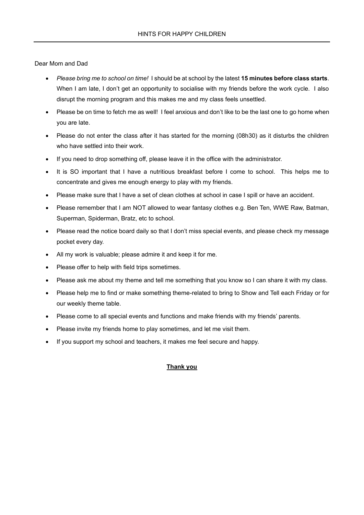Dear Mom and Dad

- *Please bring me to school on time!* I should be at school by the latest **15 minutes before class starts**. When I am late, I don't get an opportunity to socialise with my friends before the work cycle. I also disrupt the morning program and this makes me and my class feels unsettled.
- Please be on time to fetch me as well! I feel anxious and don't like to be the last one to go home when you are late.
- Please do not enter the class after it has started for the morning (08h30) as it disturbs the children who have settled into their work.
- If you need to drop something off, please leave it in the office with the administrator.
- It is SO important that I have a nutritious breakfast before I come to school. This helps me to concentrate and gives me enough energy to play with my friends.
- Please make sure that I have a set of clean clothes at school in case I spill or have an accident.
- Please remember that I am NOT allowed to wear fantasy clothes e.g. Ben Ten, WWE Raw, Batman, Superman, Spiderman, Bratz, etc to school.
- Please read the notice board daily so that I don't miss special events, and please check my message pocket every day.
- All my work is valuable; please admire it and keep it for me.
- Please offer to help with field trips sometimes.
- Please ask me about my theme and tell me something that you know so I can share it with my class.
- Please help me to find or make something theme-related to bring to Show and Tell each Friday or for our weekly theme table.
- Please come to all special events and functions and make friends with my friends' parents.
- Please invite my friends home to play sometimes, and let me visit them.
- If you support my school and teachers, it makes me feel secure and happy.

# **Thank you**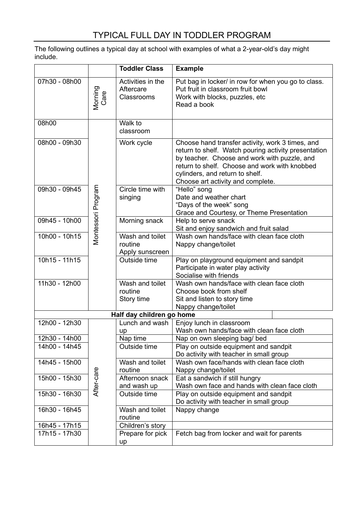The following outlines a typical day at school with examples of what a 2-year-old's day might include.

|                 |                    | <b>Toddler Class</b>                          | <b>Example</b>                                                                                                                                                                                                                                                                    |
|-----------------|--------------------|-----------------------------------------------|-----------------------------------------------------------------------------------------------------------------------------------------------------------------------------------------------------------------------------------------------------------------------------------|
| 07h30 - 08h00   | Morning<br>Care    | Activities in the<br>Aftercare<br>Classrooms  | Put bag in locker/ in row for when you go to class.<br>Put fruit in classroom fruit bowl<br>Work with blocks, puzzles, etc<br>Read a book                                                                                                                                         |
| 08h00           |                    | Walk to<br>classroom                          |                                                                                                                                                                                                                                                                                   |
| 08h00 - 09h30   |                    | Work cycle                                    | Choose hand transfer activity, work 3 times, and<br>return to shelf. Watch pouring activity presentation<br>by teacher. Choose and work with puzzle, and<br>return to shelf. Choose and work with knobbed<br>cylinders, and return to shelf.<br>Choose art activity and complete. |
| 09h30 - 09h45   | Montessori Program | Circle time with<br>singing                   | "Hello" song<br>Date and weather chart<br>"Days of the week" song<br>Grace and Courtesy, or Theme Presentation                                                                                                                                                                    |
| 09h45 - 10h00   |                    | Morning snack                                 | Help to serve snack<br>Sit and enjoy sandwich and fruit salad                                                                                                                                                                                                                     |
| 10h00 - 10h15   |                    | Wash and toilet<br>routine<br>Apply sunscreen | Wash own hands/face with clean face cloth<br>Nappy change/toilet                                                                                                                                                                                                                  |
| $10h15 - 11h15$ |                    | Outside time                                  | Play on playground equipment and sandpit<br>Participate in water play activity<br>Socialise with friends                                                                                                                                                                          |
| 11h30 - 12h00   |                    | Wash and toilet<br>routine<br>Story time      | Wash own hands/face with clean face cloth<br>Choose book from shelf<br>Sit and listen to story time<br>Nappy change/toilet                                                                                                                                                        |
|                 |                    | Half day children go home                     |                                                                                                                                                                                                                                                                                   |
| 12h00 - 12h30   |                    | Lunch and wash<br>up                          | Enjoy lunch in classroom<br>Wash own hands/face with clean face cloth                                                                                                                                                                                                             |
| 12h30 - 14h00   |                    | Nap time                                      | Nap on own sleeping bag/ bed                                                                                                                                                                                                                                                      |
| 14h00 - 14h45   |                    | Outside time                                  | Play on outside equipment and sandpit<br>Do activity with teacher in small group                                                                                                                                                                                                  |
| 14h45 - 15h00   |                    | Wash and toilet<br>routine                    | Wash own face/hands with clean face cloth<br>Nappy change/toilet                                                                                                                                                                                                                  |
| 15h00 - 15h30   | After-care         | Afternoon snack<br>and wash up                | Eat a sandwich if still hungry<br>Wash own face and hands with clean face cloth                                                                                                                                                                                                   |
| 15h30 - 16h30   |                    | Outside time                                  | Play on outside equipment and sandpit<br>Do activity with teacher in small group                                                                                                                                                                                                  |
| 16h30 - 16h45   |                    | Wash and toilet<br>routine                    | Nappy change                                                                                                                                                                                                                                                                      |
| 16h45 - 17h15   |                    | Children's story                              |                                                                                                                                                                                                                                                                                   |
| 17h15 - 17h30   |                    | Prepare for pick<br>up                        | Fetch bag from locker and wait for parents                                                                                                                                                                                                                                        |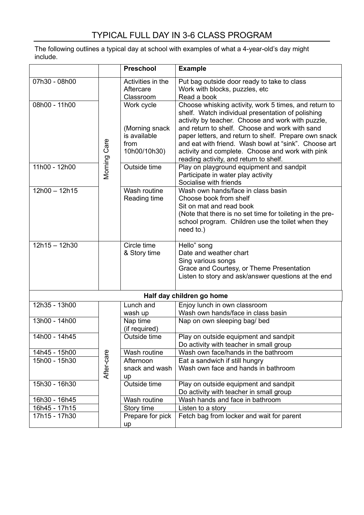The following outlines a typical day at school with examples of what a 4-year-old's day might include.

|                 |              | <b>Preschool</b>                                                     | <b>Example</b>                                                                                                                                                                                                                                                                                                                                                                                                                   |
|-----------------|--------------|----------------------------------------------------------------------|----------------------------------------------------------------------------------------------------------------------------------------------------------------------------------------------------------------------------------------------------------------------------------------------------------------------------------------------------------------------------------------------------------------------------------|
| 07h30 - 08h00   |              | Activities in the<br>Aftercare<br>Classroom                          | Put bag outside door ready to take to class<br>Work with blocks, puzzles, etc<br>Read a book                                                                                                                                                                                                                                                                                                                                     |
| 08h00 - 11h00   | Morning Care | Work cycle<br>(Morning snack<br>is available<br>from<br>10h00/10h30) | Choose whisking activity, work 5 times, and return to<br>shelf. Watch individual presentation of polishing<br>activity by teacher. Choose and work with puzzle,<br>and return to shelf. Choose and work with sand<br>paper letters, and return to shelf. Prepare own snack<br>and eat with friend. Wash bowl at "sink". Choose art<br>activity and complete. Choose and work with pink<br>reading activity, and return to shelf. |
| 11h00 - 12h00   |              | Outside time                                                         | Play on playground equipment and sandpit<br>Participate in water play activity<br>Socialise with friends                                                                                                                                                                                                                                                                                                                         |
| $12h00 - 12h15$ |              | Wash routine<br>Reading time                                         | Wash own hands/face in class basin<br>Choose book from shelf<br>Sit on mat and read book<br>(Note that there is no set time for toileting in the pre-<br>school program. Children use the toilet when they<br>need to.)                                                                                                                                                                                                          |
| $12h15 - 12h30$ |              | Circle time<br>& Story time                                          | Hello" song<br>Date and weather chart<br>Sing various songs<br>Grace and Courtesy, or Theme Presentation<br>Listen to story and ask/answer questions at the end                                                                                                                                                                                                                                                                  |
|                 |              |                                                                      | Half day children go home                                                                                                                                                                                                                                                                                                                                                                                                        |
| 12h35 - 13h00   |              | Lunch and<br>wash up                                                 | Enjoy lunch in own classroom<br>Wash own hands/face in class basin                                                                                                                                                                                                                                                                                                                                                               |
| 13h00 - 14h00   |              | Nap time<br>(if required)                                            | Nap on own sleeping bag/ bed                                                                                                                                                                                                                                                                                                                                                                                                     |
| 14h00 - 14h45   |              | Outside time                                                         | Play on outside equipment and sandpit<br>Do activity with teacher in small group                                                                                                                                                                                                                                                                                                                                                 |
| 14h45 - 15h00   |              | Wash routine                                                         | Wash own face/hands in the bathroom                                                                                                                                                                                                                                                                                                                                                                                              |
| 15h00 - 15h30   | After-care   | Afternoon<br>snack and wash<br>up                                    | Eat a sandwich if still hungry<br>Wash own face and hands in bathroom                                                                                                                                                                                                                                                                                                                                                            |
| 15h30 - 16h30   |              | Outside time                                                         | Play on outside equipment and sandpit<br>Do activity with teacher in small group                                                                                                                                                                                                                                                                                                                                                 |
| 16h30 - 16h45   |              | Wash routine                                                         | Wash hands and face in bathroom                                                                                                                                                                                                                                                                                                                                                                                                  |
| 16h45 - 17h15   |              | Story time                                                           | Listen to a story                                                                                                                                                                                                                                                                                                                                                                                                                |
| 17h15 - 17h30   |              | Prepare for pick<br>up                                               | Fetch bag from locker and wait for parent                                                                                                                                                                                                                                                                                                                                                                                        |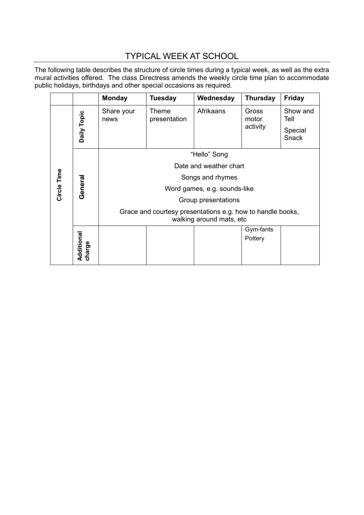# TYPICAL WEEK AT SCHOOL

The following table describes the structure of circle times during a typical week, as well as the extra mural activities offered. The class Directress amends the weekly circle time plan to accommodate public holidays, birthdays and other special occasions as required.

|             |             | <b>Monday</b>                                                                          | <b>Tuesday</b>        | Wednesday | <b>Thursday</b>            | <b>Friday</b>                               |  |
|-------------|-------------|----------------------------------------------------------------------------------------|-----------------------|-----------|----------------------------|---------------------------------------------|--|
| Circle Time | Daily Topic | Share your<br>news                                                                     | Theme<br>presentation | Afrikaans | Gross<br>motor<br>activity | Show and<br>Tell<br>Special<br><b>Snack</b> |  |
|             | General     | "Hello" Song                                                                           |                       |           |                            |                                             |  |
|             |             | Date and weather chart                                                                 |                       |           |                            |                                             |  |
|             |             | Songs and rhymes                                                                       |                       |           |                            |                                             |  |
|             |             | Word games, e.g. sounds-like                                                           |                       |           |                            |                                             |  |
|             |             | Group presentations                                                                    |                       |           |                            |                                             |  |
|             |             | Grace and courtesy presentations e.g. how to handle books,<br>walking around mats, etc |                       |           |                            |                                             |  |
|             | Additional  |                                                                                        |                       |           | Gym-fants                  |                                             |  |
|             |             |                                                                                        |                       |           | Pottery                    |                                             |  |
|             | charge      |                                                                                        |                       |           |                            |                                             |  |